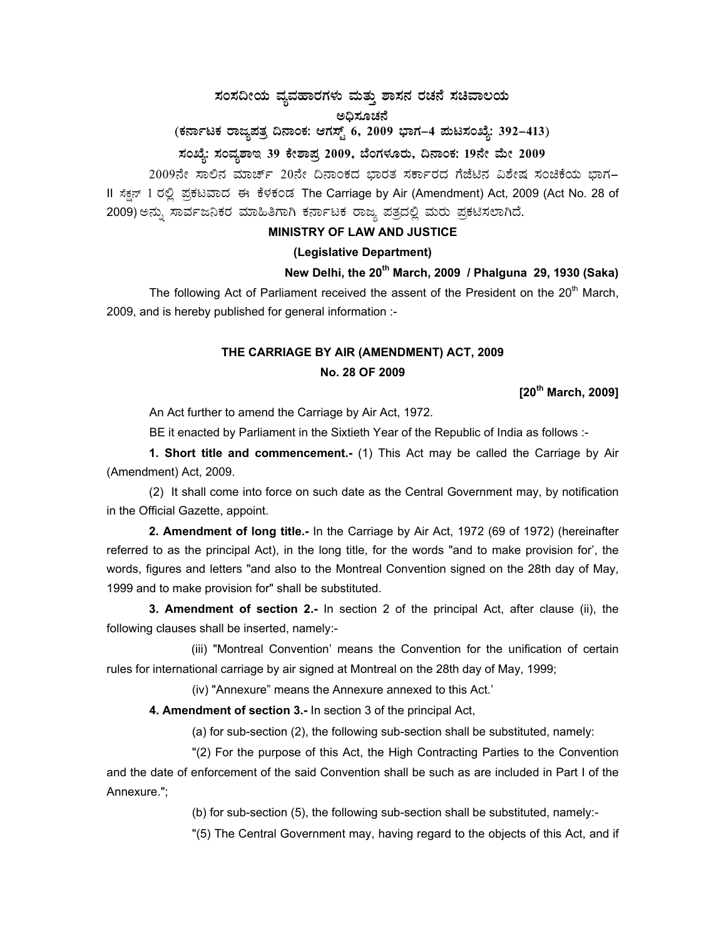# **¸ÀA¸À¢ÃAiÀÄ ªÀåªÀºÁgÀUÀ¼ÀÄ ªÀÄvÀÄÛ ±Á¸À£À gÀZÀ£É ¸ÀaªÁ®AiÀÄ**

ಅಧಿಸೂಚನೆ

(ಕರ್ನಾಟಕ ರಾಜ್ಯಪತ್ರ ದಿನಾಂಕ: ಆಗಸ್ಟ್ **6, 2009 ಭಾಗ–4 ಪುಟಸಂಖ್ಯೆ: 392–413**)

# ಸಂಖ್ಯೆ: ಸಂವ್ಯಶಾಇ 39 ಕೇಶಾಪ್ರ 2009, ಬೆಂಗಳೂರು, ದಿನಾಂಕ: 19ನೇ ಮೇ 2009

2009ನೇ ಸಾಲಿನ ಮಾರ್ಚ್ 20ನೇ ದಿನಾಂಕದ ಭಾರತ ಸರ್ಕಾರದ ಗೆಜೆಟಿನ ವಿಶೇಷ ಸಂಚಿಕೆಯ ಭಾಗ– II ಸೆಕ್ಷನ್ 1 ರಲ್ಲಿ ಪ್ರಕಟವಾದ ಈ ಕೆಳಕಂಡ The Carriage by Air (Amendment) Act, 2009 (Act No. 28 of 2009) ಅನ್ನು ಸಾರ್ವಜನಿಕರ ಮಾಹಿತಿಗಾಗಿ ಕರ್ನಾಟಕ ರಾಜ್ಯ ಪತ್ರದಲ್ಲಿ ಮರು ಪ್ರಕಟಿಸಲಾಗಿದೆ.

# **MINISTRY OF LAW AND JUSTICE**

### **(Legislative Department)**

# **New Delhi, the 20th March, 2009 / Phalguna 29, 1930 (Saka)**

The following Act of Parliament received the assent of the President on the 20<sup>th</sup> March, 2009, and is hereby published for general information :-

# **THE CARRIAGE BY AIR (AMENDMENT) ACT, 2009 No. 28 OF 2009**

**[20th March, 2009]** 

An Act further to amend the Carriage by Air Act, 1972.

BE it enacted by Parliament in the Sixtieth Year of the Republic of India as follows :-

**1. Short title and commencement.-** (1) This Act may be called the Carriage by Air (Amendment) Act, 2009.

 (2) It shall come into force on such date as the Central Government may, by notification in the Official Gazette, appoint.

**2. Amendment of long title.-** In the Carriage by Air Act, 1972 (69 of 1972) (hereinafter referred to as the principal Act), in the long title, for the words "and to make provision for', the words, figures and letters "and also to the Montreal Convention signed on the 28th day of May, 1999 and to make provision for" shall be substituted.

**3. Amendment of section 2.-** In section 2 of the principal Act, after clause (ii), the following clauses shall be inserted, namely:-

 (iii) "Montreal Convention' means the Convention for the unification of certain rules for international carriage by air signed at Montreal on the 28th day of May, 1999;

(iv) "Annexure" means the Annexure annexed to this Act.'

**4. Amendment of section 3.-** In section 3 of the principal Act,

(a) for sub-section (2), the following sub-section shall be substituted, namely:

"(2) For the purpose of this Act, the High Contracting Parties to the Convention and the date of enforcement of the said Convention shall be such as are included in Part I of the Annexure.";

(b) for sub-section (5), the following sub-section shall be substituted, namely:-

"(5) The Central Government may, having regard to the objects of this Act, and if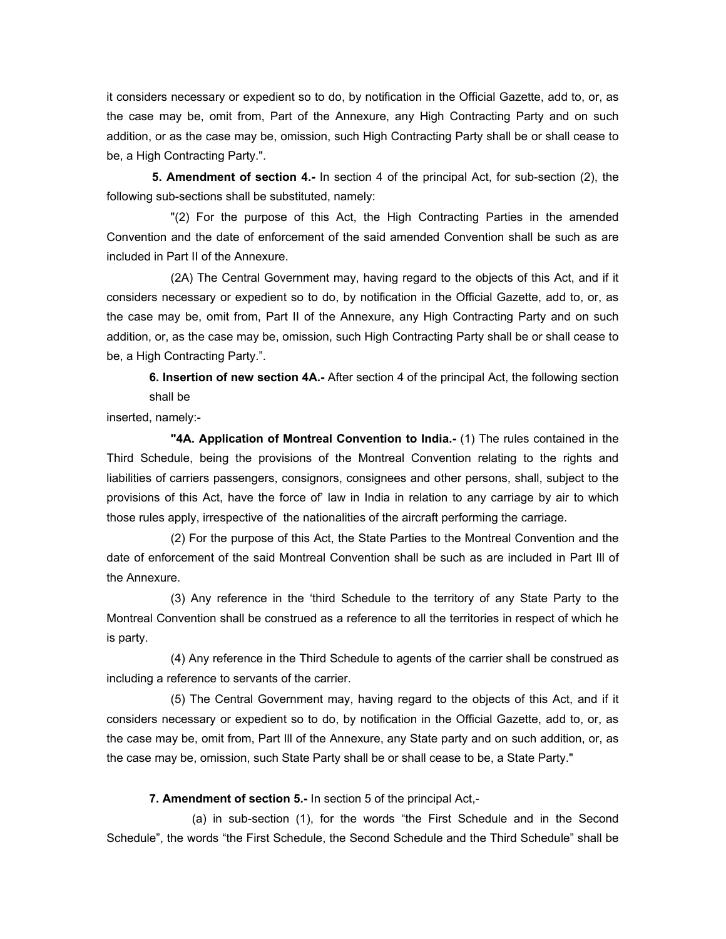it considers necessary or expedient so to do, by notification in the Official Gazette, add to, or, as the case may be, omit from, Part of the Annexure, any High Contracting Party and on such addition, or as the case may be, omission, such High Contracting Party shall be or shall cease to be, a High Contracting Party.".

**5. Amendment of section 4.-** In section 4 of the principal Act, for sub-section (2), the following sub-sections shall be substituted, namely:

"(2) For the purpose of this Act, the High Contracting Parties in the amended Convention and the date of enforcement of the said amended Convention shall be such as are included in Part II of the Annexure.

(2A) The Central Government may, having regard to the objects of this Act, and if it considers necessary or expedient so to do, by notification in the Official Gazette, add to, or, as the case may be, omit from, Part II of the Annexure, any High Contracting Party and on such addition, or, as the case may be, omission, such High Contracting Party shall be or shall cease to be, a High Contracting Party.".

**6. Insertion of new section 4A.-** After section 4 of the principal Act, the following section shall be

inserted, namely:-

**"4A. Application of Montreal Convention to India.-** (1) The rules contained in the Third Schedule, being the provisions of the Montreal Convention relating to the rights and liabilities of carriers passengers, consignors, consignees and other persons, shall, subject to the provisions of this Act, have the force of' law in India in relation to any carriage by air to which those rules apply, irrespective of the nationalities of the aircraft performing the carriage.

(2) For the purpose of this Act, the State Parties to the Montreal Convention and the date of enforcement of the said Montreal Convention shall be such as are included in Part Ill of the Annexure.

(3) Any reference in the 'third Schedule to the territory of any State Party to the Montreal Convention shall be construed as a reference to all the territories in respect of which he is party.

(4) Any reference in the Third Schedule to agents of the carrier shall be construed as including a reference to servants of the carrier.

(5) The Central Government may, having regard to the objects of this Act, and if it considers necessary or expedient so to do, by notification in the Official Gazette, add to, or, as the case may be, omit from, Part Ill of the Annexure, any State party and on such addition, or, as the case may be, omission, such State Party shall be or shall cease to be, a State Party."

## **7. Amendment of section 5.-** In section 5 of the principal Act,-

(a) in sub-section (1), for the words "the First Schedule and in the Second Schedule", the words "the First Schedule, the Second Schedule and the Third Schedule" shall be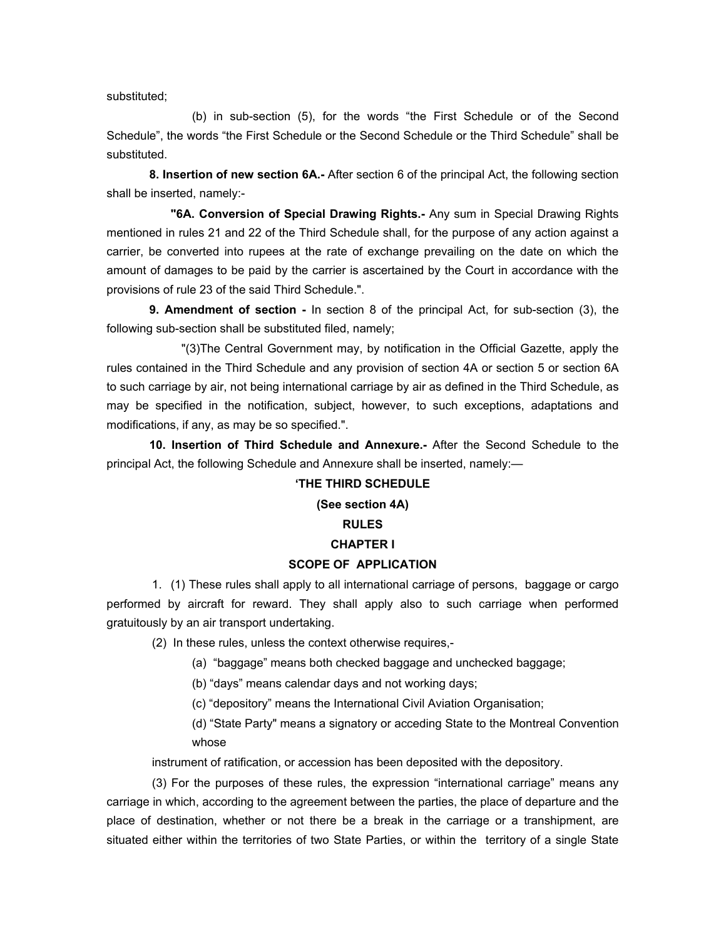substituted;

(b) in sub-section (5), for the words "the First Schedule or of the Second Schedule", the words "the First Schedule or the Second Schedule or the Third Schedule" shall be substituted.

**8. Insertion of new section 6A.-** After section 6 of the principal Act, the following section shall be inserted, namely:-

**"6A. Conversion of Special Drawing Rights.-** Any sum in Special Drawing Rights mentioned in rules 21 and 22 of the Third Schedule shall, for the purpose of any action against a carrier, be converted into rupees at the rate of exchange prevailing on the date on which the amount of damages to be paid by the carrier is ascertained by the Court in accordance with the provisions of rule 23 of the said Third Schedule.".

**9. Amendment of section -** In section 8 of the principal Act, for sub-section (3), the following sub-section shall be substituted filed, namely;

"(3)The Central Government may, by notification in the Official Gazette, apply the rules contained in the Third Schedule and any provision of section 4A or section 5 or section 6A to such carriage by air, not being international carriage by air as defined in the Third Schedule, as may be specified in the notification, subject, however, to such exceptions, adaptations and modifications, if any, as may be so specified.".

**10. Insertion of Third Schedule and Annexure.-** After the Second Schedule to the principal Act, the following Schedule and Annexure shall be inserted, namely:—

#### **'THE THIRD SCHEDULE**

# **(See section 4A) RULES**

#### **CHAPTER I**

### **SCOPE OF APPLICATION**

1. (1) These rules shall apply to all international carriage of persons, baggage or cargo performed by aircraft for reward. They shall apply also to such carriage when performed gratuitously by an air transport undertaking.

(2) In these rules, unless the context otherwise requires,-

(a) "baggage" means both checked baggage and unchecked baggage;

(b) "days" means calendar days and not working days;

- (c) "depository" means the International Civil Aviation Organisation;
- (d) "State Party" means a signatory or acceding State to the Montreal Convention whose

instrument of ratification, or accession has been deposited with the depository.

 (3) For the purposes of these rules, the expression "international carriage" means any carriage in which, according to the agreement between the parties, the place of departure and the place of destination, whether or not there be a break in the carriage or a transhipment, are situated either within the territories of two State Parties, or within the territory of a single State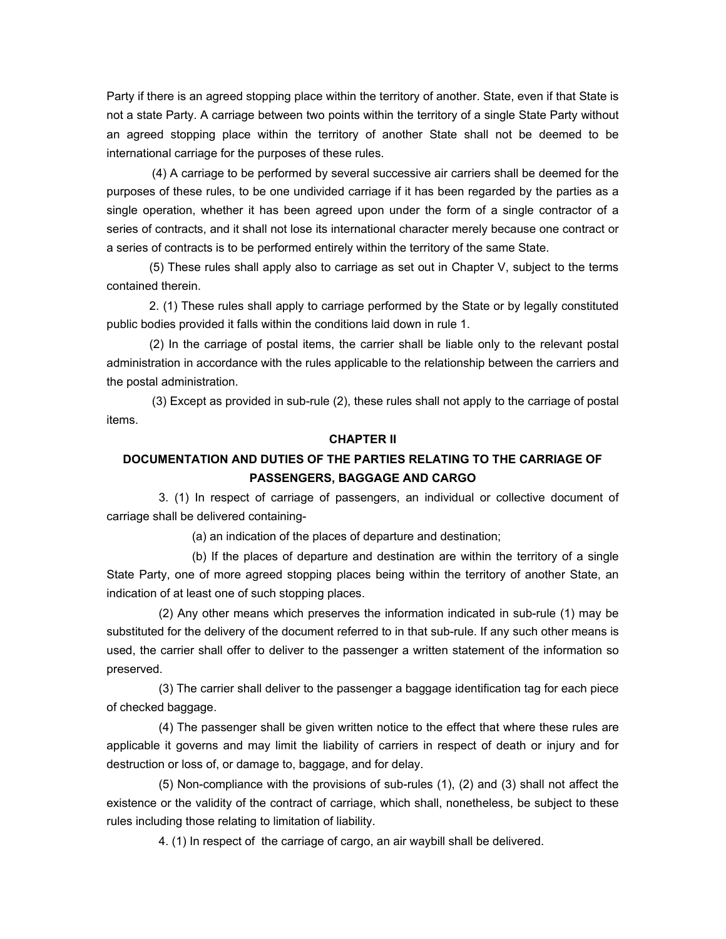Party if there is an agreed stopping place within the territory of another. State, even if that State is not a state Party. A carriage between two points within the territory of a single State Party without an agreed stopping place within the territory of another State shall not be deemed to be international carriage for the purposes of these rules.

 (4) A carriage to be performed by several successive air carriers shall be deemed for the purposes of these rules, to be one undivided carriage if it has been regarded by the parties as a single operation, whether it has been agreed upon under the form of a single contractor of a series of contracts, and it shall not lose its international character merely because one contract or a series of contracts is to be performed entirely within the territory of the same State.

(5) These rules shall apply also to carriage as set out in Chapter V, subject to the terms contained therein.

2. (1) These rules shall apply to carriage performed by the State or by legally constituted public bodies provided it falls within the conditions laid down in rule 1.

(2) In the carriage of postal items, the carrier shall be liable only to the relevant postal administration in accordance with the rules applicable to the relationship between the carriers and the postal administration.

 (3) Except as provided in sub-rule (2), these rules shall not apply to the carriage of postal items.

## **CHAPTER II**

# **DOCUMENTATION AND DUTIES OF THE PARTIES RELATING TO THE CARRIAGE OF PASSENGERS, BAGGAGE AND CARGO**

 3. (1) In respect of carriage of passengers, an individual or collective document of carriage shall be delivered containing-

(a) an indication of the places of departure and destination;

 (b) If the places of departure and destination are within the territory of a single State Party, one of more agreed stopping places being within the territory of another State, an indication of at least one of such stopping places.

(2) Any other means which preserves the information indicated in sub-rule (1) may be substituted for the delivery of the document referred to in that sub-rule. If any such other means is used, the carrier shall offer to deliver to the passenger a written statement of the information so preserved.

 (3) The carrier shall deliver to the passenger a baggage identification tag for each piece of checked baggage.

 (4) The passenger shall be given written notice to the effect that where these rules are applicable it governs and may limit the liability of carriers in respect of death or injury and for destruction or loss of, or damage to, baggage, and for delay.

 (5) Non-compliance with the provisions of sub-rules (1), (2) and (3) shall not affect the existence or the validity of the contract of carriage, which shall, nonetheless, be subject to these rules including those relating to limitation of liability.

4. (1) In respect of the carriage of cargo, an air waybill shall be delivered.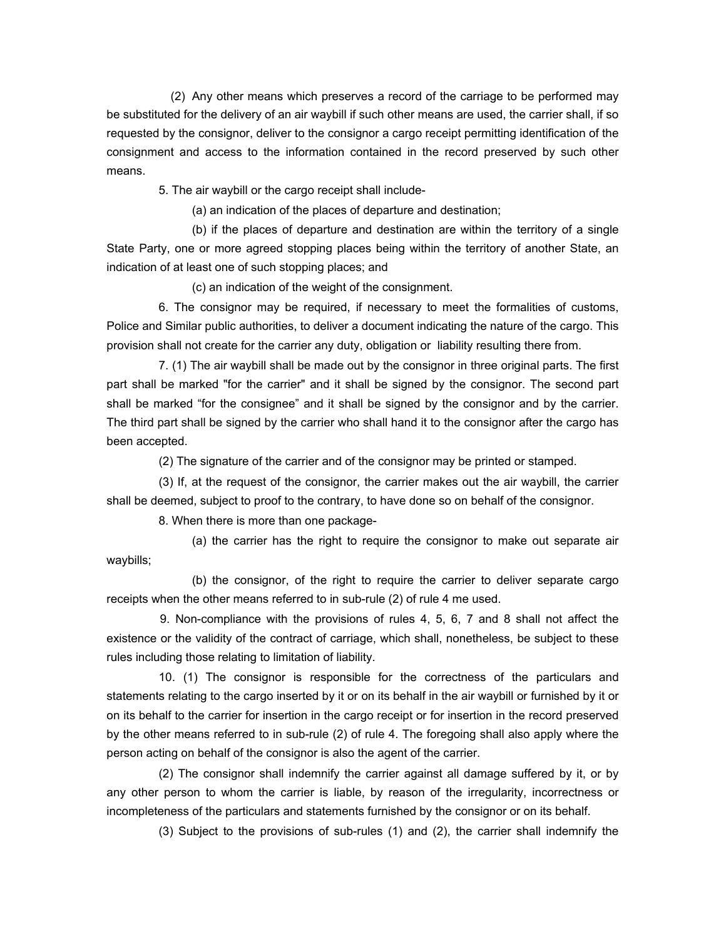(2) Any other means which preserves a record of the carriage to be performed may be substituted for the delivery of an air waybill if such other means are used, the carrier shall, if so requested by the consignor, deliver to the consignor a cargo receipt permitting identification of the consignment and access to the information contained in the record preserved by such other means.

5. The air waybill or the cargo receipt shall include-

(a) an indication of the places of departure and destination;

 (b) if the places of departure and destination are within the territory of a single State Party, one or more agreed stopping places being within the territory of another State, an indication of at least one of such stopping places; and

(c) an indication of the weight of the consignment.

6. The consignor may be required, if necessary to meet the formalities of customs, Police and Similar public authorities, to deliver a document indicating the nature of the cargo. This provision shall not create for the carrier any duty, obligation or liability resulting there from.

 7. (1) The air waybill shall be made out by the consignor in three original parts. The first part shall be marked "for the carrier" and it shall be signed by the consignor. The second part shall be marked "for the consignee" and it shall be signed by the consignor and by the carrier. The third part shall be signed by the carrier who shall hand it to the consignor after the cargo has been accepted.

(2) The signature of the carrier and of the consignor may be printed or stamped.

 (3) If, at the request of the consignor, the carrier makes out the air waybill, the carrier shall be deemed, subject to proof to the contrary, to have done so on behalf of the consignor.

8. When there is more than one package-

 (a) the carrier has the right to require the consignor to make out separate air waybills;

 (b) the consignor, of the right to require the carrier to deliver separate cargo receipts when the other means referred to in sub-rule (2) of rule 4 me used.

9. Non-compliance with the provisions of rules 4, 5, 6, 7 and 8 shall not affect the existence or the validity of the contract of carriage, which shall, nonetheless, be subject to these rules including those relating to limitation of liability.

 10. (1) The consignor is responsible for the correctness of the particulars and statements relating to the cargo inserted by it or on its behalf in the air waybill or furnished by it or on its behalf to the carrier for insertion in the cargo receipt or for insertion in the record preserved by the other means referred to in sub-rule (2) of rule 4. The foregoing shall also apply where the person acting on behalf of the consignor is also the agent of the carrier.

 (2) The consignor shall indemnify the carrier against all damage suffered by it, or by any other person to whom the carrier is liable, by reason of the irregularity, incorrectness or incompleteness of the particulars and statements furnished by the consignor or on its behalf.

(3) Subject to the provisions of sub-rules (1) and (2), the carrier shall indemnify the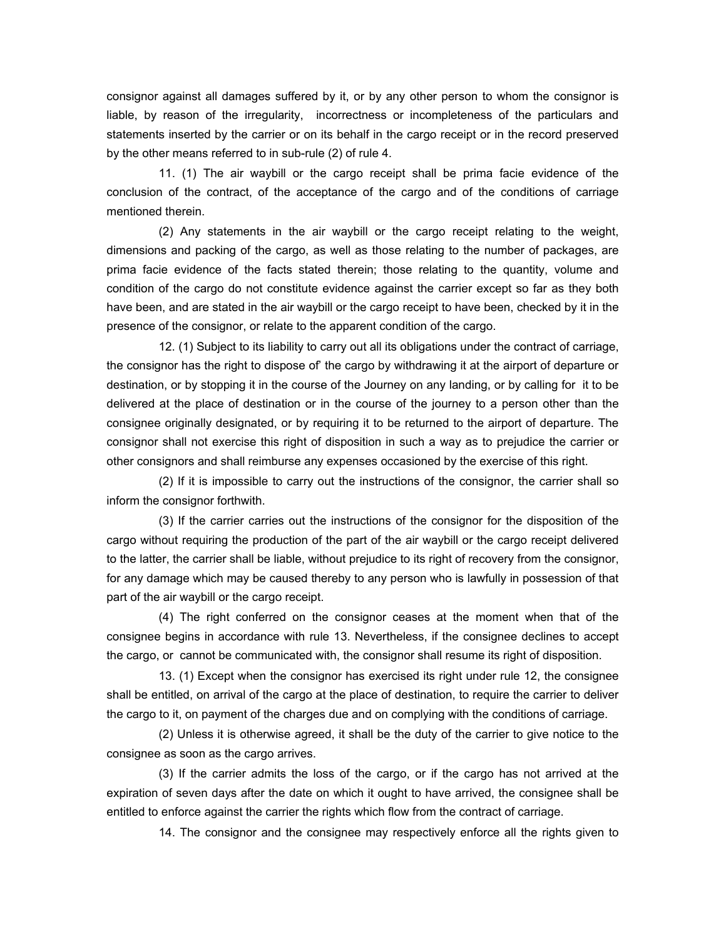consignor against all damages suffered by it, or by any other person to whom the consignor is liable, by reason of the irregularity, incorrectness or incompleteness of the particulars and statements inserted by the carrier or on its behalf in the cargo receipt or in the record preserved by the other means referred to in sub-rule (2) of rule 4.

 11. (1) The air waybill or the cargo receipt shall be prima facie evidence of the conclusion of the contract, of the acceptance of the cargo and of the conditions of carriage mentioned therein.

 (2) Any statements in the air waybill or the cargo receipt relating to the weight, dimensions and packing of the cargo, as well as those relating to the number of packages, are prima facie evidence of the facts stated therein; those relating to the quantity, volume and condition of the cargo do not constitute evidence against the carrier except so far as they both have been, and are stated in the air waybill or the cargo receipt to have been, checked by it in the presence of the consignor, or relate to the apparent condition of the cargo.

 12. (1) Subject to its liability to carry out all its obligations under the contract of carriage, the consignor has the right to dispose of' the cargo by withdrawing it at the airport of departure or destination, or by stopping it in the course of the Journey on any landing, or by calling for it to be delivered at the place of destination or in the course of the journey to a person other than the consignee originally designated, or by requiring it to be returned to the airport of departure. The consignor shall not exercise this right of disposition in such a way as to prejudice the carrier or other consignors and shall reimburse any expenses occasioned by the exercise of this right.

 (2) If it is impossible to carry out the instructions of the consignor, the carrier shall so inform the consignor forthwith.

 (3) If the carrier carries out the instructions of the consignor for the disposition of the cargo without requiring the production of the part of the air waybill or the cargo receipt delivered to the latter, the carrier shall be liable, without prejudice to its right of recovery from the consignor, for any damage which may be caused thereby to any person who is lawfully in possession of that part of the air waybill or the cargo receipt.

 (4) The right conferred on the consignor ceases at the moment when that of the consignee begins in accordance with rule 13. Nevertheless, if the consignee declines to accept the cargo, or cannot be communicated with, the consignor shall resume its right of disposition.

 13. (1) Except when the consignor has exercised its right under rule 12, the consignee shall be entitled, on arrival of the cargo at the place of destination, to require the carrier to deliver the cargo to it, on payment of the charges due and on complying with the conditions of carriage.

 (2) Unless it is otherwise agreed, it shall be the duty of the carrier to give notice to the consignee as soon as the cargo arrives.

 (3) If the carrier admits the loss of the cargo, or if the cargo has not arrived at the expiration of seven days after the date on which it ought to have arrived, the consignee shall be entitled to enforce against the carrier the rights which flow from the contract of carriage.

14. The consignor and the consignee may respectively enforce all the rights given to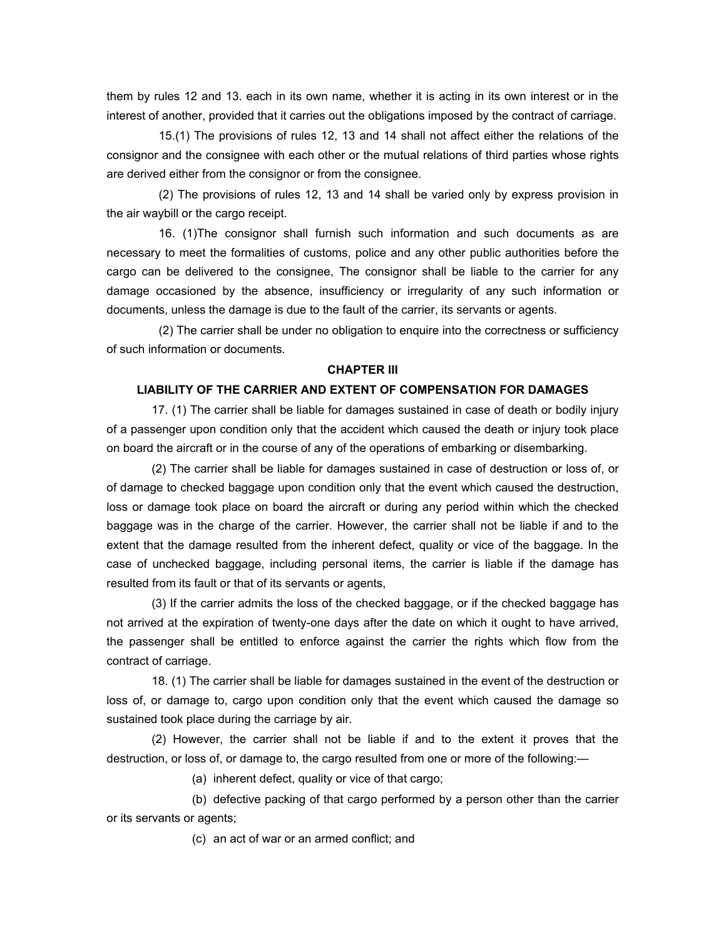them by rules 12 and 13. each in its own name, whether it is acting in its own interest or in the interest of another, provided that it carries out the obligations imposed by the contract of carriage.

 15.(1) The provisions of rules 12, 13 and 14 shall not affect either the relations of the consignor and the consignee with each other or the mutual relations of third parties whose rights are derived either from the consignor or from the consignee.

 (2) The provisions of rules 12, 13 and 14 shall be varied only by express provision in the air waybill or the cargo receipt.

 16. (1)The consignor shall furnish such information and such documents as are necessary to meet the formalities of customs, police and any other public authorities before the cargo can be delivered to the consignee, The consignor shall be liable to the carrier for any damage occasioned by the absence, insufficiency or irregularity of any such information or documents, unless the damage is due to the fault of the carrier, its servants or agents.

 (2) The carrier shall be under no obligation to enquire into the correctness or sufficiency of such information or documents.

#### **CHAPTER III**

### **LIABILITY OF THE CARRIER AND EXTENT OF COMPENSATION FOR DAMAGES**

 17. (1) The carrier shall be liable for damages sustained in case of death or bodily injury of a passenger upon condition only that the accident which caused the death or injury took place on board the aircraft or in the course of any of the operations of embarking or disembarking.

 (2) The carrier shall be liable for damages sustained in case of destruction or loss of, or of damage to checked baggage upon condition only that the event which caused the destruction, loss or damage took place on board the aircraft or during any period within which the checked baggage was in the charge of the carrier. However, the carrier shall not be liable if and to the extent that the damage resulted from the inherent defect, quality or vice of the baggage. In the case of unchecked baggage, including personal items, the carrier is liable if the damage has resulted from its fault or that of its servants or agents,

 (3) If the carrier admits the loss of the checked baggage, or if the checked baggage has not arrived at the expiration of twenty-one days after the date on which it ought to have arrived, the passenger shall be entitled to enforce against the carrier the rights which flow from the contract of carriage.

 18. (1) The carrier shall be liable for damages sustained in the event of the destruction or loss of, or damage to, cargo upon condition only that the event which caused the damage so sustained took place during the carriage by air.

 (2) However, the carrier shall not be liable if and to the extent it proves that the destruction, or loss of, or damage to, the cargo resulted from one or more of the following:—

(a) inherent defect, quality or vice of that cargo;

(b) defective packing of that cargo performed by a person other than the carrier or its servants or agents;

(c) an act of war or an armed conflict; and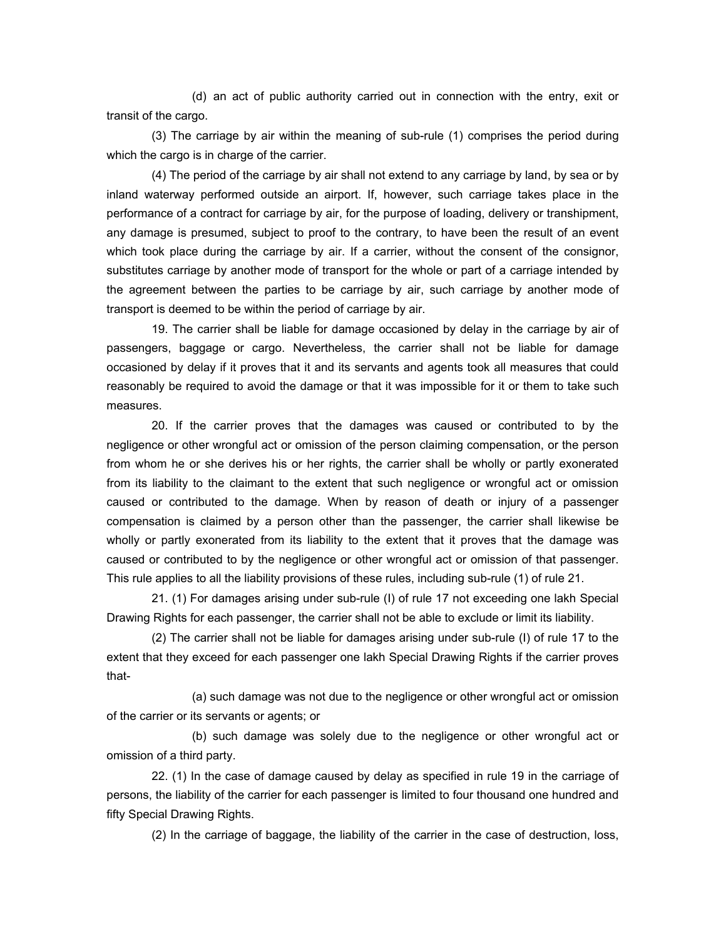(d) an act of public authority carried out in connection with the entry, exit or transit of the cargo.

 (3) The carriage by air within the meaning of sub-rule (1) comprises the period during which the cargo is in charge of the carrier.

 (4) The period of the carriage by air shall not extend to any carriage by land, by sea or by inland waterway performed outside an airport. If, however, such carriage takes place in the performance of a contract for carriage by air, for the purpose of loading, delivery or transhipment, any damage is presumed, subject to proof to the contrary, to have been the result of an event which took place during the carriage by air. If a carrier, without the consent of the consignor, substitutes carriage by another mode of transport for the whole or part of a carriage intended by the agreement between the parties to be carriage by air, such carriage by another mode of transport is deemed to be within the period of carriage by air.

 19. The carrier shall be liable for damage occasioned by delay in the carriage by air of passengers, baggage or cargo. Nevertheless, the carrier shall not be liable for damage occasioned by delay if it proves that it and its servants and agents took all measures that could reasonably be required to avoid the damage or that it was impossible for it or them to take such measures.

 20. If the carrier proves that the damages was caused or contributed to by the negligence or other wrongful act or omission of the person claiming compensation, or the person from whom he or she derives his or her rights, the carrier shall be wholly or partly exonerated from its liability to the claimant to the extent that such negligence or wrongful act or omission caused or contributed to the damage. When by reason of death or injury of a passenger compensation is claimed by a person other than the passenger, the carrier shall likewise be wholly or partly exonerated from its liability to the extent that it proves that the damage was caused or contributed to by the negligence or other wrongful act or omission of that passenger. This rule applies to all the liability provisions of these rules, including sub-rule (1) of rule 21.

 21. (1) For damages arising under sub-rule (I) of rule 17 not exceeding one lakh Special Drawing Rights for each passenger, the carrier shall not be able to exclude or limit its liability.

 (2) The carrier shall not be liable for damages arising under sub-rule (I) of rule 17 to the extent that they exceed for each passenger one lakh Special Drawing Rights if the carrier proves that-

 (a) such damage was not due to the negligence or other wrongful act or omission of the carrier or its servants or agents; or

 (b) such damage was solely due to the negligence or other wrongful act or omission of a third party.

 22. (1) In the case of damage caused by delay as specified in rule 19 in the carriage of persons, the liability of the carrier for each passenger is limited to four thousand one hundred and fifty Special Drawing Rights.

(2) In the carriage of baggage, the liability of the carrier in the case of destruction, loss,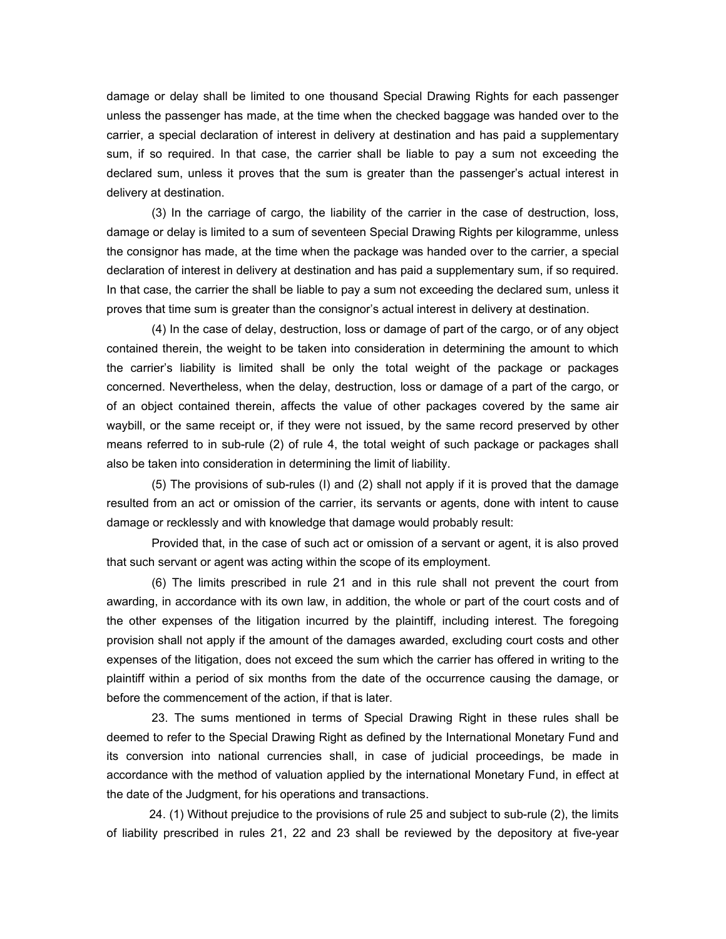damage or delay shall be limited to one thousand Special Drawing Rights for each passenger unless the passenger has made, at the time when the checked baggage was handed over to the carrier, a special declaration of interest in delivery at destination and has paid a supplementary sum, if so required. In that case, the carrier shall be liable to pay a sum not exceeding the declared sum, unless it proves that the sum is greater than the passenger's actual interest in delivery at destination.

 (3) In the carriage of cargo, the liability of the carrier in the case of destruction, loss, damage or delay is limited to a sum of seventeen Special Drawing Rights per kilogramme, unless the consignor has made, at the time when the package was handed over to the carrier, a special declaration of interest in delivery at destination and has paid a supplementary sum, if so required. In that case, the carrier the shall be liable to pay a sum not exceeding the declared sum, unless it proves that time sum is greater than the consignor's actual interest in delivery at destination.

 (4) In the case of delay, destruction, loss or damage of part of the cargo, or of any object contained therein, the weight to be taken into consideration in determining the amount to which the carrier's liability is limited shall be only the total weight of the package or packages concerned. Nevertheless, when the delay, destruction, loss or damage of a part of the cargo, or of an object contained therein, affects the value of other packages covered by the same air waybill, or the same receipt or, if they were not issued, by the same record preserved by other means referred to in sub-rule (2) of rule 4, the total weight of such package or packages shall also be taken into consideration in determining the limit of liability.

 (5) The provisions of sub-rules (I) and (2) shall not apply if it is proved that the damage resulted from an act or omission of the carrier, its servants or agents, done with intent to cause damage or recklessly and with knowledge that damage would probably result:

 Provided that, in the case of such act or omission of a servant or agent, it is also proved that such servant or agent was acting within the scope of its employment.

 (6) The limits prescribed in rule 21 and in this rule shall not prevent the court from awarding, in accordance with its own law, in addition, the whole or part of the court costs and of the other expenses of the litigation incurred by the plaintiff, including interest. The foregoing provision shall not apply if the amount of the damages awarded, excluding court costs and other expenses of the litigation, does not exceed the sum which the carrier has offered in writing to the plaintiff within a period of six months from the date of the occurrence causing the damage, or before the commencement of the action, if that is later.

 23. The sums mentioned in terms of Special Drawing Right in these rules shall be deemed to refer to the Special Drawing Right as defined by the International Monetary Fund and its conversion into national currencies shall, in case of judicial proceedings, be made in accordance with the method of valuation applied by the international Monetary Fund, in effect at the date of the Judgment, for his operations and transactions.

 24. (1) Without prejudice to the provisions of rule 25 and subject to sub-rule (2), the limits of liability prescribed in rules 21, 22 and 23 shall be reviewed by the depository at five-year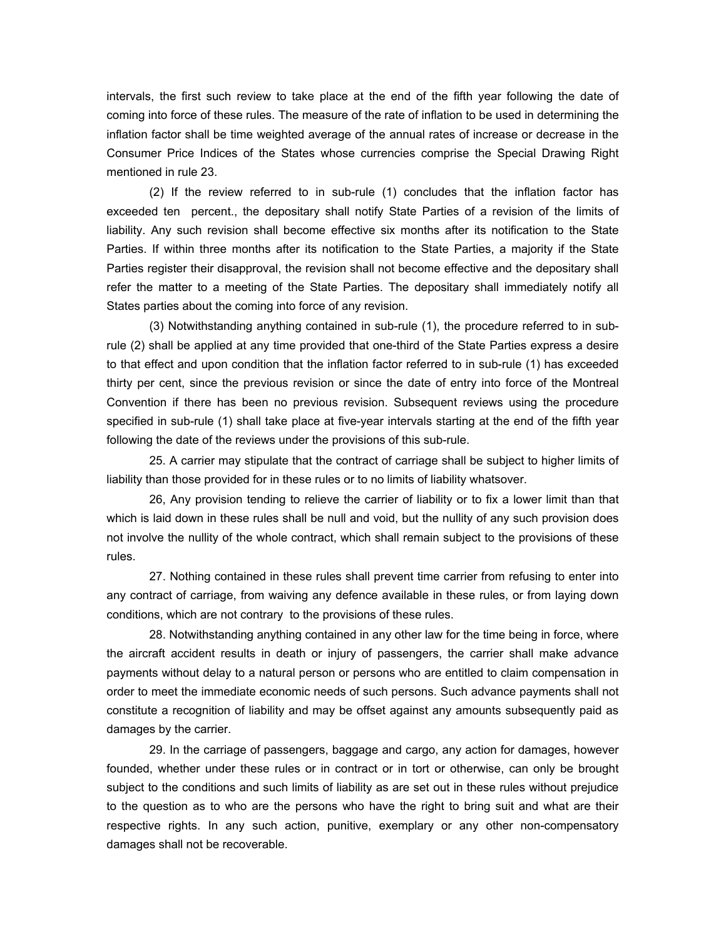intervals, the first such review to take place at the end of the fifth year following the date of coming into force of these rules. The measure of the rate of inflation to be used in determining the inflation factor shall be time weighted average of the annual rates of increase or decrease in the Consumer Price Indices of the States whose currencies comprise the Special Drawing Right mentioned in rule 23.

 (2) If the review referred to in sub-rule (1) concludes that the inflation factor has exceeded ten percent., the depositary shall notify State Parties of a revision of the limits of liability. Any such revision shall become effective six months after its notification to the State Parties. If within three months after its notification to the State Parties, a majority if the State Parties register their disapproval, the revision shall not become effective and the depositary shall refer the matter to a meeting of the State Parties. The depositary shall immediately notify all States parties about the coming into force of any revision.

 (3) Notwithstanding anything contained in sub-rule (1), the procedure referred to in subrule (2) shall be applied at any time provided that one-third of the State Parties express a desire to that effect and upon condition that the inflation factor referred to in sub-rule (1) has exceeded thirty per cent, since the previous revision or since the date of entry into force of the Montreal Convention if there has been no previous revision. Subsequent reviews using the procedure specified in sub-rule (1) shall take place at five-year intervals starting at the end of the fifth year following the date of the reviews under the provisions of this sub-rule.

 25. A carrier may stipulate that the contract of carriage shall be subject to higher limits of liability than those provided for in these rules or to no limits of liability whatsover.

 26, Any provision tending to relieve the carrier of liability or to fix a lower limit than that which is laid down in these rules shall be null and void, but the nullity of any such provision does not involve the nullity of the whole contract, which shall remain subject to the provisions of these rules.

 27. Nothing contained in these rules shall prevent time carrier from refusing to enter into any contract of carriage, from waiving any defence available in these rules, or from laying down conditions, which are not contrary to the provisions of these rules.

 28. Notwithstanding anything contained in any other law for the time being in force, where the aircraft accident results in death or injury of passengers, the carrier shall make advance payments without delay to a natural person or persons who are entitled to claim compensation in order to meet the immediate economic needs of such persons. Such advance payments shall not constitute a recognition of liability and may be offset against any amounts subsequently paid as damages by the carrier.

 29. In the carriage of passengers, baggage and cargo, any action for damages, however founded, whether under these rules or in contract or in tort or otherwise, can only be brought subject to the conditions and such limits of liability as are set out in these rules without prejudice to the question as to who are the persons who have the right to bring suit and what are their respective rights. In any such action, punitive, exemplary or any other non-compensatory damages shall not be recoverable.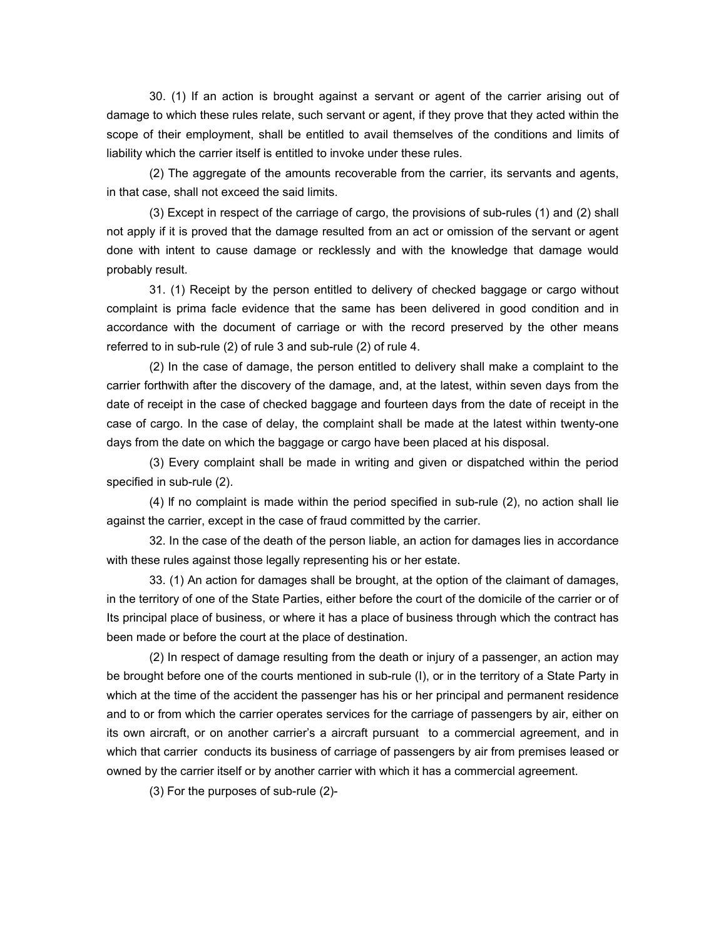30. (1) If an action is brought against a servant or agent of the carrier arising out of damage to which these rules relate, such servant or agent, if they prove that they acted within the scope of their employment, shall be entitled to avail themselves of the conditions and limits of liability which the carrier itself is entitled to invoke under these rules.

 (2) The aggregate of the amounts recoverable from the carrier, its servants and agents, in that case, shall not exceed the said limits.

 (3) Except in respect of the carriage of cargo, the provisions of sub-rules (1) and (2) shall not apply if it is proved that the damage resulted from an act or omission of the servant or agent done with intent to cause damage or recklessly and with the knowledge that damage would probably result.

 31. (1) Receipt by the person entitled to delivery of checked baggage or cargo without complaint is prima facle evidence that the same has been delivered in good condition and in accordance with the document of carriage or with the record preserved by the other means referred to in sub-rule (2) of rule 3 and sub-rule (2) of rule 4.

 (2) In the case of damage, the person entitled to delivery shall make a complaint to the carrier forthwith after the discovery of the damage, and, at the latest, within seven days from the date of receipt in the case of checked baggage and fourteen days from the date of receipt in the case of cargo. In the case of delay, the complaint shall be made at the latest within twenty-one days from the date on which the baggage or cargo have been placed at his disposal.

 (3) Every complaint shall be made in writing and given or dispatched within the period specified in sub-rule (2).

 (4) lf no complaint is made within the period specified in sub-rule (2), no action shall lie against the carrier, except in the case of fraud committed by the carrier.

 32. In the case of the death of the person liable, an action for damages lies in accordance with these rules against those legally representing his or her estate.

 33. (1) An action for damages shall be brought, at the option of the claimant of damages, in the territory of one of the State Parties, either before the court of the domicile of the carrier or of Its principal place of business, or where it has a place of business through which the contract has been made or before the court at the place of destination.

 (2) In respect of damage resulting from the death or injury of a passenger, an action may be brought before one of the courts mentioned in sub-rule (I), or in the territory of a State Party in which at the time of the accident the passenger has his or her principal and permanent residence and to or from which the carrier operates services for the carriage of passengers by air, either on its own aircraft, or on another carrier's a aircraft pursuant to a commercial agreement, and in which that carrier conducts its business of carriage of passengers by air from premises leased or owned by the carrier itself or by another carrier with which it has a commercial agreement.

(3) For the purposes of sub-rule (2)-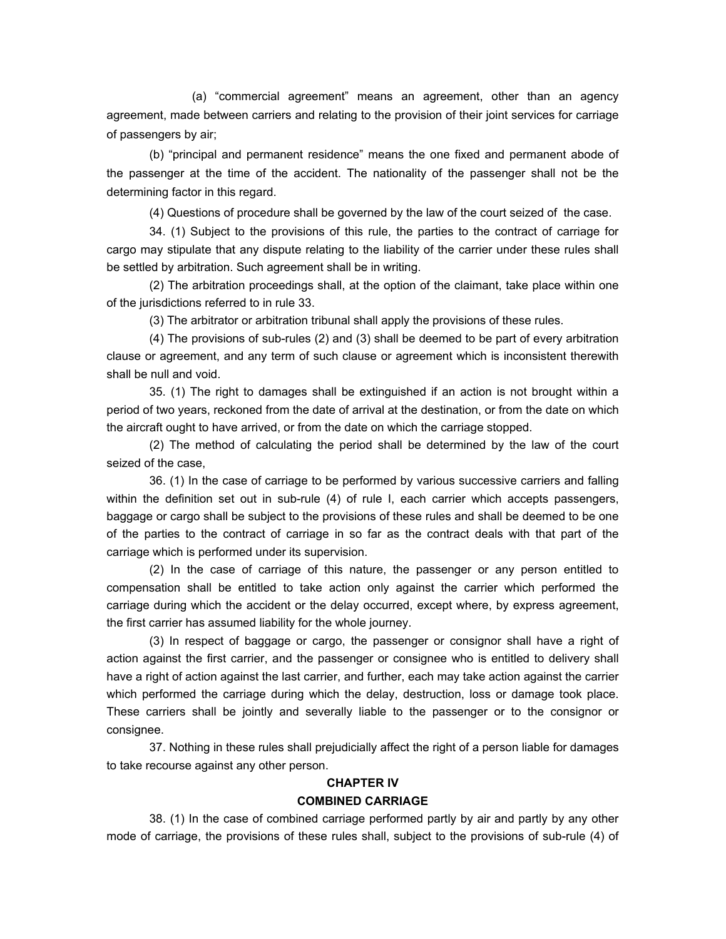(a) "commercial agreement" means an agreement, other than an agency agreement, made between carriers and relating to the provision of their joint services for carriage of passengers by air;

(b) "principal and permanent residence" means the one fixed and permanent abode of the passenger at the time of the accident. The nationality of the passenger shall not be the determining factor in this regard.

(4) Questions of procedure shall be governed by the law of the court seized of the case.

34. (1) Subject to the provisions of this rule, the parties to the contract of carriage for cargo may stipulate that any dispute relating to the liability of the carrier under these rules shall be settled by arbitration. Such agreement shall be in writing.

 (2) The arbitration proceedings shall, at the option of the claimant, take place within one of the jurisdictions referred to in rule 33.

(3) The arbitrator or arbitration tribunal shall apply the provisions of these rules.

 (4) The provisions of sub-rules (2) and (3) shall be deemed to be part of every arbitration clause or agreement, and any term of such clause or agreement which is inconsistent therewith shall be null and void.

 35. (1) The right to damages shall be extinguished if an action is not brought within a period of two years, reckoned from the date of arrival at the destination, or from the date on which the aircraft ought to have arrived, or from the date on which the carriage stopped.

 (2) The method of calculating the period shall be determined by the law of the court seized of the case,

 36. (1) In the case of carriage to be performed by various successive carriers and falling within the definition set out in sub-rule (4) of rule I, each carrier which accepts passengers, baggage or cargo shall be subject to the provisions of these rules and shall be deemed to be one of the parties to the contract of carriage in so far as the contract deals with that part of the carriage which is performed under its supervision.

 (2) In the case of carriage of this nature, the passenger or any person entitled to compensation shall be entitled to take action only against the carrier which performed the carriage during which the accident or the delay occurred, except where, by express agreement, the first carrier has assumed liability for the whole journey.

 (3) In respect of baggage or cargo, the passenger or consignor shall have a right of action against the first carrier, and the passenger or consignee who is entitled to delivery shall have a right of action against the last carrier, and further, each may take action against the carrier which performed the carriage during which the delay, destruction, loss or damage took place. These carriers shall be jointly and severally liable to the passenger or to the consignor or consignee.

 37. Nothing in these rules shall prejudicially affect the right of a person liable for damages to take recourse against any other person.

## **CHAPTER IV**

### **COMBINED CARRIAGE**

 38. (1) In the case of combined carriage performed partly by air and partly by any other mode of carriage, the provisions of these rules shall, subject to the provisions of sub-rule (4) of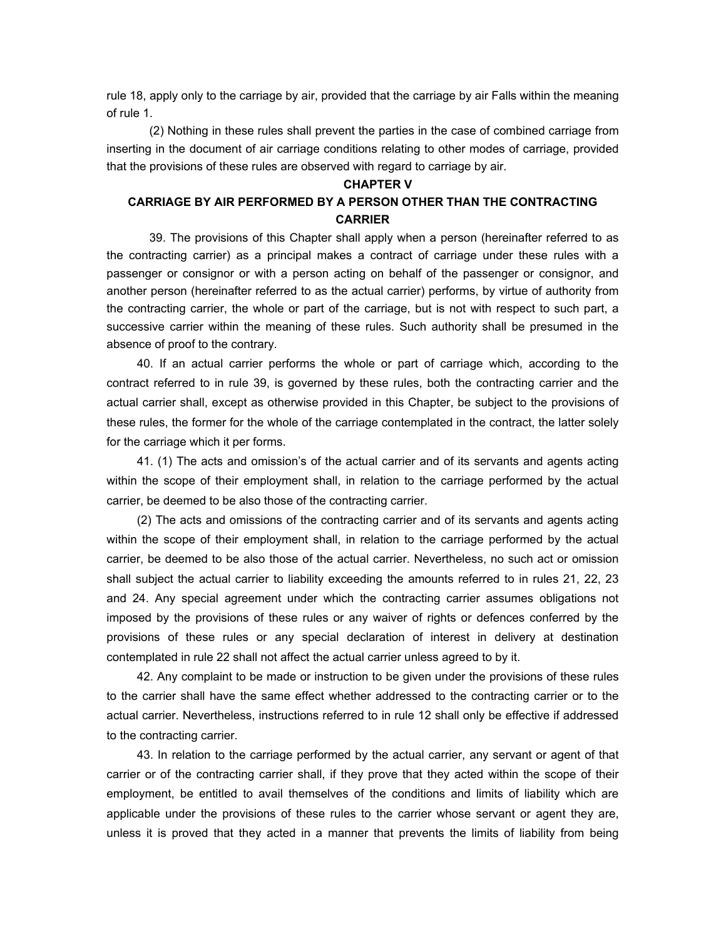rule 18, apply only to the carriage by air, provided that the carriage by air Falls within the meaning of rule 1.

 (2) Nothing in these rules shall prevent the parties in the case of combined carriage from inserting in the document of air carriage conditions relating to other modes of carriage, provided that the provisions of these rules are observed with regard to carriage by air.

### **CHAPTER V**

# **CARRIAGE BY AIR PERFORMED BY A PERSON OTHER THAN THE CONTRACTING CARRIER**

 39. The provisions of this Chapter shall apply when a person (hereinafter referred to as the contracting carrier) as a principal makes a contract of carriage under these rules with a passenger or consignor or with a person acting on behalf of the passenger or consignor, and another person (hereinafter referred to as the actual carrier) performs, by virtue of authority from the contracting carrier, the whole or part of the carriage, but is not with respect to such part, a successive carrier within the meaning of these rules. Such authority shall be presumed in the absence of proof to the contrary.

 40. If an actual carrier performs the whole or part of carriage which, according to the contract referred to in rule 39, is governed by these rules, both the contracting carrier and the actual carrier shall, except as otherwise provided in this Chapter, be subject to the provisions of these rules, the former for the whole of the carriage contemplated in the contract, the latter solely for the carriage which it per forms.

 41. (1) The acts and omission's of the actual carrier and of its servants and agents acting within the scope of their employment shall, in relation to the carriage performed by the actual carrier, be deemed to be also those of the contracting carrier.

 (2) The acts and omissions of the contracting carrier and of its servants and agents acting within the scope of their employment shall, in relation to the carriage performed by the actual carrier, be deemed to be also those of the actual carrier. Nevertheless, no such act or omission shall subject the actual carrier to liability exceeding the amounts referred to in rules 21, 22, 23 and 24. Any special agreement under which the contracting carrier assumes obligations not imposed by the provisions of these rules or any waiver of rights or defences conferred by the provisions of these rules or any special declaration of interest in delivery at destination contemplated in rule 22 shall not affect the actual carrier unless agreed to by it.

 42. Any complaint to be made or instruction to be given under the provisions of these rules to the carrier shall have the same effect whether addressed to the contracting carrier or to the actual carrier. Nevertheless, instructions referred to in rule 12 shall only be effective if addressed to the contracting carrier.

 43. In relation to the carriage performed by the actual carrier, any servant or agent of that carrier or of the contracting carrier shall, if they prove that they acted within the scope of their employment, be entitled to avail themselves of the conditions and limits of liability which are applicable under the provisions of these rules to the carrier whose servant or agent they are, unless it is proved that they acted in a manner that prevents the limits of liability from being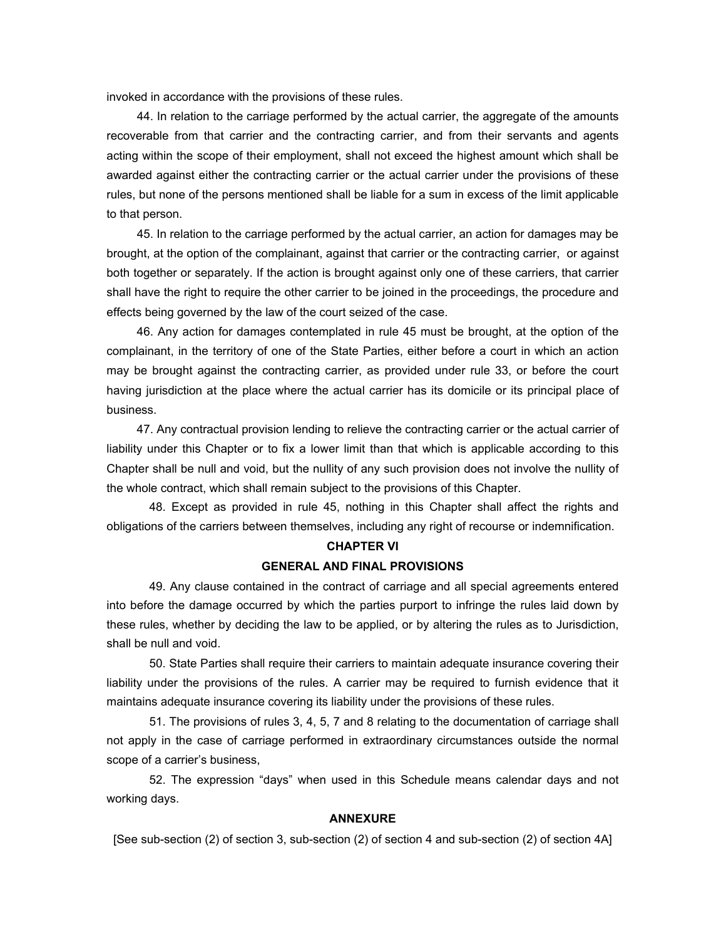invoked in accordance with the provisions of these rules.

 44. In relation to the carriage performed by the actual carrier, the aggregate of the amounts recoverable from that carrier and the contracting carrier, and from their servants and agents acting within the scope of their employment, shall not exceed the highest amount which shall be awarded against either the contracting carrier or the actual carrier under the provisions of these rules, but none of the persons mentioned shall be liable for a sum in excess of the limit applicable to that person.

 45. In relation to the carriage performed by the actual carrier, an action for damages may be brought, at the option of the complainant, against that carrier or the contracting carrier, or against both together or separately. If the action is brought against only one of these carriers, that carrier shall have the right to require the other carrier to be joined in the proceedings, the procedure and effects being governed by the law of the court seized of the case.

 46. Any action for damages contemplated in rule 45 must be brought, at the option of the complainant, in the territory of one of the State Parties, either before a court in which an action may be brought against the contracting carrier, as provided under rule 33, or before the court having jurisdiction at the place where the actual carrier has its domicile or its principal place of business.

 47. Any contractual provision lending to relieve the contracting carrier or the actual carrier of liability under this Chapter or to fix a lower limit than that which is applicable according to this Chapter shall be null and void, but the nullity of any such provision does not involve the nullity of the whole contract, which shall remain subject to the provisions of this Chapter.

 48. Except as provided in rule 45, nothing in this Chapter shall affect the rights and obligations of the carriers between themselves, including any right of recourse or indemnification.

#### **CHAPTER VI**

### **GENERAL AND FINAL PROVISIONS**

 49. Any clause contained in the contract of carriage and all special agreements entered into before the damage occurred by which the parties purport to infringe the rules laid down by these rules, whether by deciding the law to be applied, or by altering the rules as to Jurisdiction, shall be null and void.

 50. State Parties shall require their carriers to maintain adequate insurance covering their liability under the provisions of the rules. A carrier may be required to furnish evidence that it maintains adequate insurance covering its liability under the provisions of these rules.

 51. The provisions of rules 3, 4, 5, 7 and 8 relating to the documentation of carriage shall not apply in the case of carriage performed in extraordinary circumstances outside the normal scope of a carrier's business,

 52. The expression "days" when used in this Schedule means calendar days and not working days.

#### **ANNEXURE**

[See sub-section (2) of section 3, sub-section (2) of section 4 and sub-section (2) of section 4A]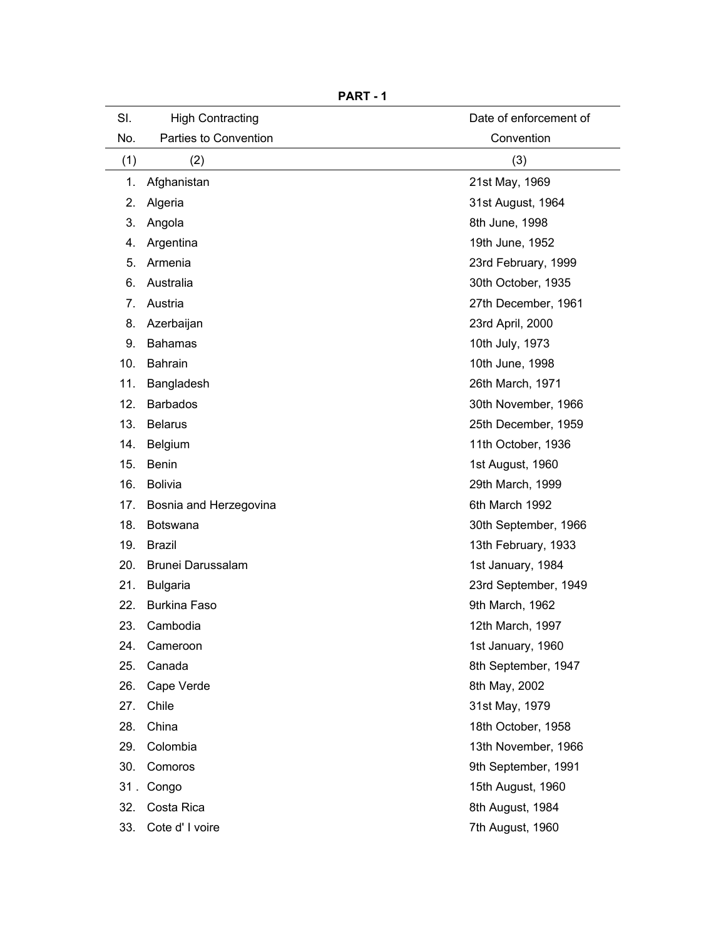| SI. | <b>High Contracting</b> | Date of enforcement of |
|-----|-------------------------|------------------------|
| No. | Parties to Convention   | Convention             |
| (1) | (2)                     | (3)                    |
| 1.  | Afghanistan             | 21st May, 1969         |
| 2.  | Algeria                 | 31st August, 1964      |
| 3.  | Angola                  | 8th June, 1998         |
| 4.  | Argentina               | 19th June, 1952        |
| 5.  | Armenia                 | 23rd February, 1999    |
| 6.  | Australia               | 30th October, 1935     |
| 7.  | Austria                 | 27th December, 1961    |
| 8.  | Azerbaijan              | 23rd April, 2000       |
| 9.  | <b>Bahamas</b>          | 10th July, 1973        |
| 10. | <b>Bahrain</b>          | 10th June, 1998        |
| 11. | Bangladesh              | 26th March, 1971       |
| 12. | <b>Barbados</b>         | 30th November, 1966    |
| 13. | <b>Belarus</b>          | 25th December, 1959    |
| 14. | Belgium                 | 11th October, 1936     |
| 15. | Benin                   | 1st August, 1960       |
| 16. | <b>Bolivia</b>          | 29th March, 1999       |
| 17. | Bosnia and Herzegovina  | 6th March 1992         |
| 18. | <b>Botswana</b>         | 30th September, 1966   |
| 19. | <b>Brazil</b>           | 13th February, 1933    |
| 20. | Brunei Darussalam       | 1st January, 1984      |
| 21. | <b>Bulgaria</b>         | 23rd September, 1949   |
| 22. | <b>Burkina Faso</b>     | 9th March, 1962        |
| 23. | Cambodia                | 12th March, 1997       |
| 24. | Cameroon                | 1st January, 1960      |
| 25. | Canada                  | 8th September, 1947    |
| 26. | Cape Verde              | 8th May, 2002          |
| 27. | Chile                   | 31st May, 1979         |
| 28. | China                   | 18th October, 1958     |
| 29. | Colombia                | 13th November, 1966    |
| 30. | Comoros                 | 9th September, 1991    |
| 31. | Congo                   | 15th August, 1960      |
| 32. | Costa Rica              | 8th August, 1984       |
| 33. | Cote d' I voire         | 7th August, 1960       |

**PART - 1**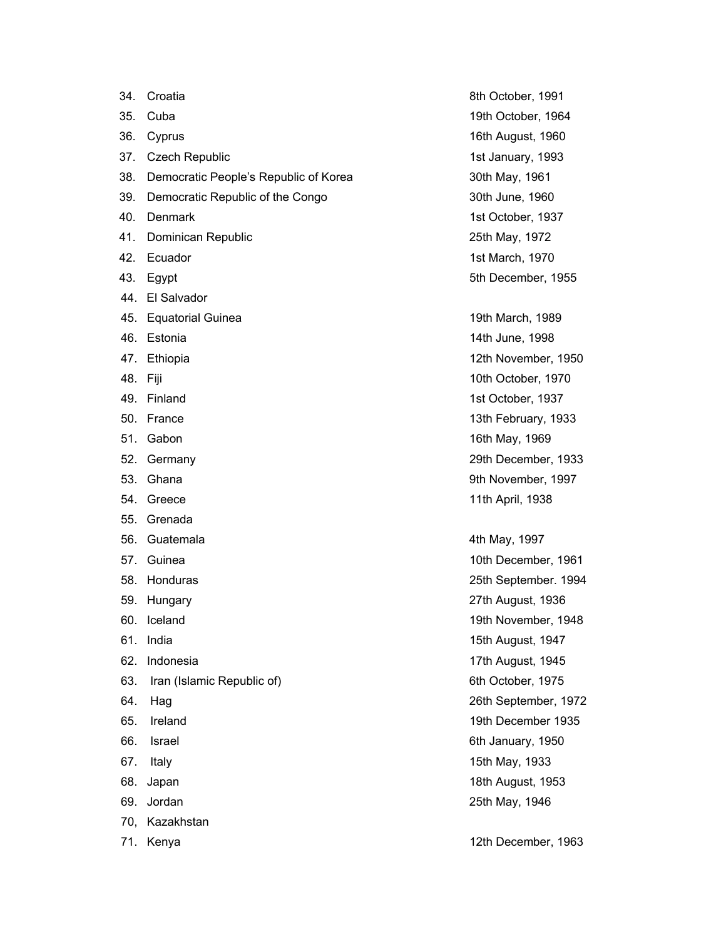| 34.      | Croatia                              |
|----------|--------------------------------------|
|          | 35. Cuba                             |
|          | 36. Cyprus                           |
| 37.      | <b>Czech Republic</b>                |
| 38.      | Democratic People's Republic of Ko   |
|          | 39. Democratic Republic of the Congo |
|          | 40. Denmark                          |
|          | 41. Dominican Republic               |
|          | 42. Ecuador                          |
|          | 43. Egypt                            |
|          | 44. El Salvador                      |
|          | 45. Equatorial Guinea                |
|          | 46. Estonia                          |
|          | 47. Ethiopia                         |
| 48. Fiji |                                      |
|          | 49. Finland                          |
|          | 50. France                           |
|          | 51. Gabon                            |
|          | 52. Germany                          |
|          | 53. Ghana                            |
|          | 54. Greece                           |
|          | 55. Grenada                          |
|          | 56. Guatemala                        |
|          | 57. Guinea                           |
|          | 58. Honduras                         |
|          | 59. Hungary                          |
|          | 60. Iceland                          |
|          | 61. India                            |
|          | 62. Indonesia                        |
| 63.      | Iran (Islamic Republic of)           |
| 64.      | Hag                                  |
| 65.      | Ireland                              |
| 66.      | Israel                               |
|          | 67. Italy                            |
|          | 68. Japan                            |
|          | 69. Jordan                           |
|          | 70, Kazakhstan                       |
|          | 71. Kenya                            |
|          |                                      |

8th October, 1991 19th October, 1964 16th August, 1960 1st January, 1993 orea **East East Corea 30th May, 1961** 30th June, 1960 1st October, 1937 25th May, 1972 1st March, 1970 5th December, 1955 19th March, 1989 14th June, 1998 12th November, 1950 10th October, 1970 1st October, 1937 13th February, 1933 16th May, 1969 29th December, 1933 9th November, 1997 11th April, 1938 4th May, 1997

10th December, 1961 25th September. 1994 27th August, 1936 19th November, 1948 15th August, 1947 17th August, 1945 6th October, 1975 26th September, 1972 19th December 1935 6th January, 1950 15th May, 1933 18th August, 1953 25th May, 1946

12th December, 1963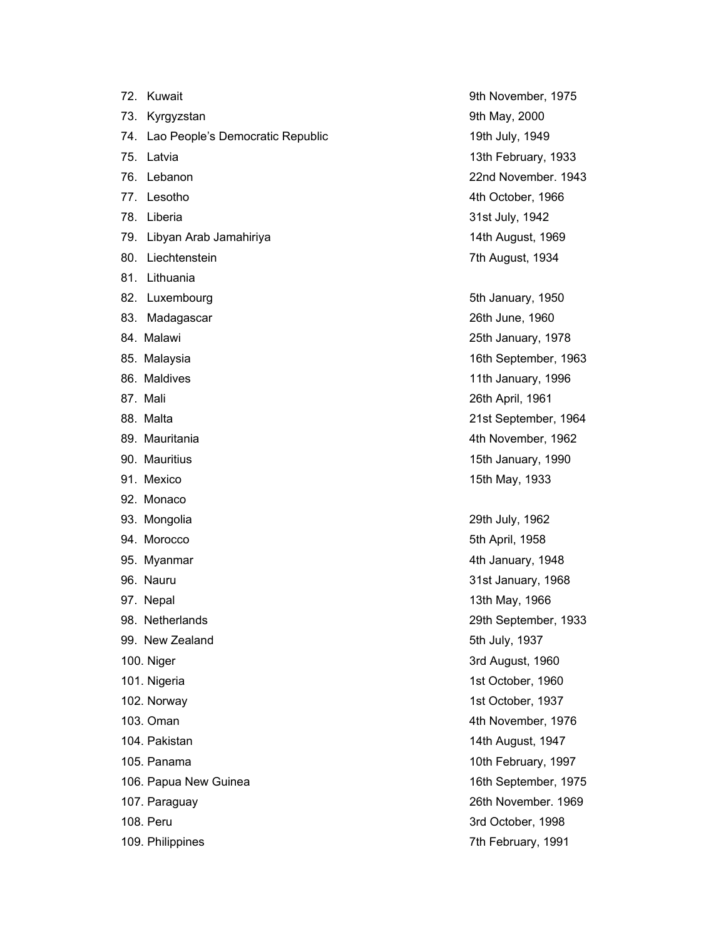72. Kuwait 9th November, 1975 73. Kyrgyzstan 9th May, 2000 74. Lao People's Democratic Republic 19th July, 1949 75. Latvia 13th February, 1933 76. Lebanon 22nd November. 1943 77. Lesotho 4th October, 1966 78. Liberia 31st July, 1942 79. Libyan Arab Jamahiriya 14th August, 1969 80. Liechtenstein **7th August, 1934** 81. Lithuania 82. Luxembourg 6. Extending the state of the state of the State of Sth January, 1950 83. Madagascar 26th June, 1960 84. Malawi 25th January, 1978 85. Malaysia 16th September, 1963 86. Maldives **11th January, 1996** 87. Mali 26th April, 1961 88. Malta 21st September, 1964 89. Mauritania 4th November, 1962 90. Mauritius 15th January, 1990 91. Mexico 2012 15th May, 1933 92. Monaco 93. Mongolia 29th July, 1962 94. Morocco 5th April, 1958 95. Myanmar **4th January, 1948** 96. Nauru 31st January, 1968 97. Nepal 13th May, 1966 98. Netherlands 29th September, 1933 99. New Zealand 5th July, 1937 100. Niger 3rd August, 1960 101. Nigeria 1960 102. Norway 1937 and the state of the state of the state of the state of the state of the state of the state of the state of the state of the state of the state of the state of the state of the state of the state of the st 103. Oman **4th November, 1976** 104. Pakistan 164. Pakistan 14th August, 1947 105. Panama 10th February, 1997 106. Papua New Guinea 16th September, 1975 107. Paraguay 26th November. 1969 108. Peru 3rd October, 1998 109. Philippines 7th February, 1991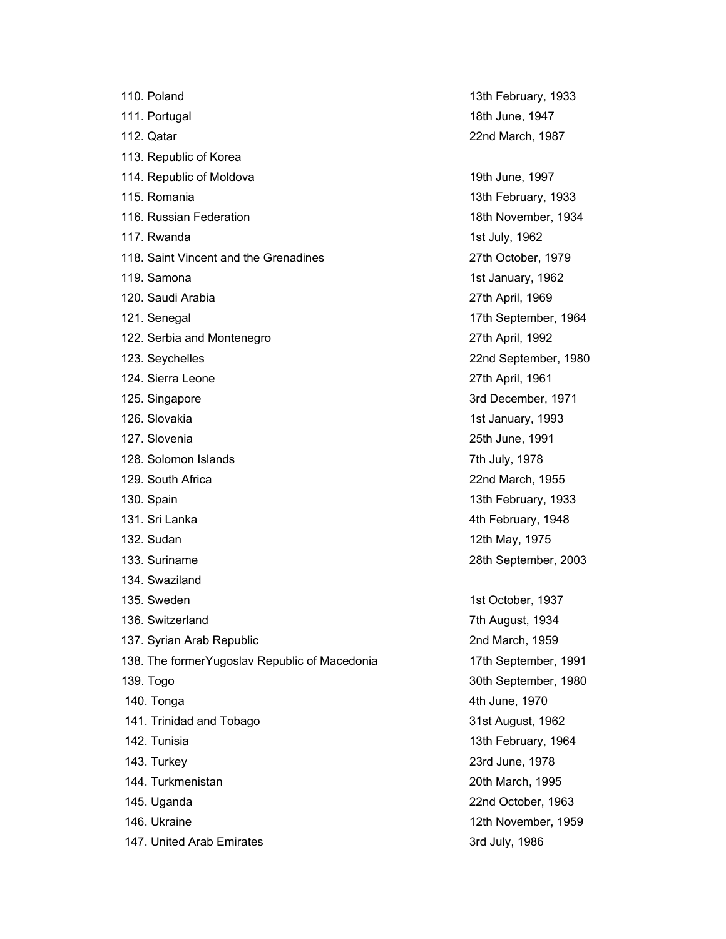110. Poland 13th February, 1933 111. Portugal 1947 **1947** 112. Qatar 22nd March, 1987 113. Republic of Korea 114. Republic of Moldova 19th June, 1997 115. Romania 13th February, 1933 116. Russian Federation 18th November, 1934 117. Rwanda 15t July, 1962 118. Saint Vincent and the Grenadines 27th October, 1979 119. Samona 1982 and 19. Samona 1962 and 19. Samona 1962 120. Saudi Arabia 27th April, 1969 121. Senegal 17th September, 1964 122. Serbia and Montenegro 27th April, 1992 123. Seychelles 22nd September, 1980 124. Sierra Leone 27th April, 1961 125. Singapore 3rd December, 1971 126. Slovakia 1993 berkenaan kemudian kemudian kemudian kemudian kemudian kemudian kemudian di terbanya di se 127. Slovenia 25th June, 1991 128. Solomon Islands 7th July, 1978 129. South Africa 22nd March, 1955 130. Spain 13th February, 1933 131. Sri Lanka **4th February, 1948** 132. Sudan 132. Sudan 12th May, 1975 133. Suriname 28th September, 2003 134. Swaziland 135. Sweden 1937 and the state of the state of the state of the state of the state of the state of the state of the state of the state of the state of the state of the state of the state of the state of the state of the st 136. Switzerland 7th August, 1934 137. Syrian Arab Republic 2nd March, 1959 138. The formerYugoslav Republic of Macedonia 17th September, 1991 139. Togo 30th September, 1980 140. Tonga 1970 141. Trinidad and Tobago 31st August, 1962 142. Tunisia 13th February, 1964 143. Turkey 23rd June, 1978 144. Turkmenistan 20th March, 1995 145. Uganda 22nd October, 1963 146. Ukraine 12th November, 1959 147. United Arab Emirates 3rd July, 1986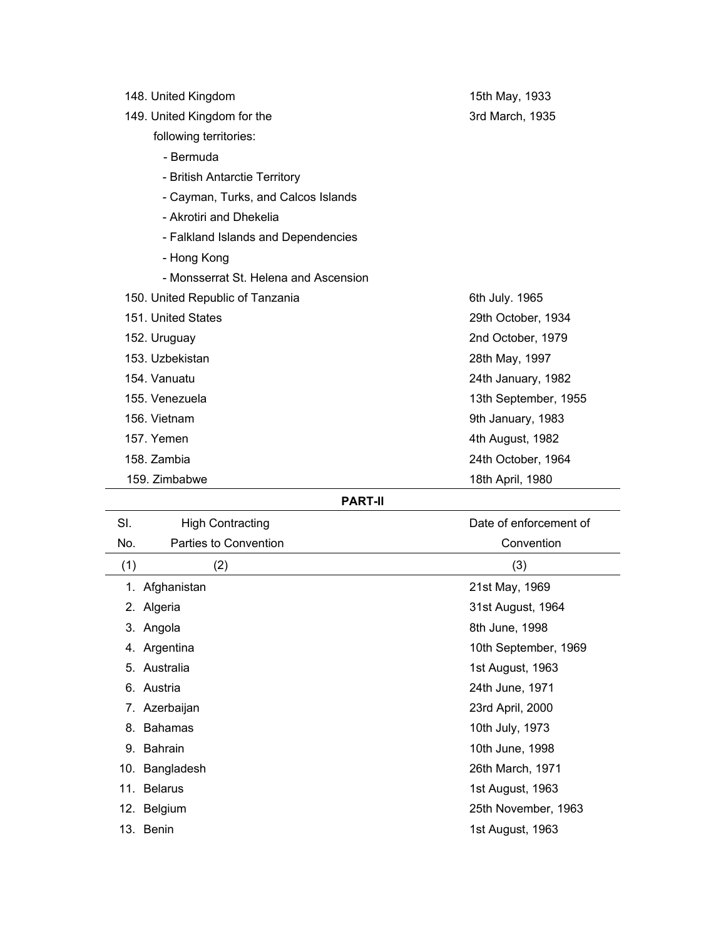|     | 148. United Kingdom                   | 15th May, 1933         |
|-----|---------------------------------------|------------------------|
|     | 149. United Kingdom for the           | 3rd March, 1935        |
|     | following territories:                |                        |
|     | - Bermuda                             |                        |
|     | - British Antarctie Territory         |                        |
|     | - Cayman, Turks, and Calcos Islands   |                        |
|     | - Akrotiri and Dhekelia               |                        |
|     | - Falkland Islands and Dependencies   |                        |
|     | - Hong Kong                           |                        |
|     | - Monsserrat St. Helena and Ascension |                        |
|     | 150. United Republic of Tanzania      | 6th July. 1965         |
|     | 151. United States                    | 29th October, 1934     |
|     | 152. Uruguay                          | 2nd October, 1979      |
|     | 153. Uzbekistan                       | 28th May, 1997         |
|     | 154. Vanuatu                          | 24th January, 1982     |
|     | 155. Venezuela                        | 13th September, 1955   |
|     | 156. Vietnam                          | 9th January, 1983      |
|     | 157. Yemen                            | 4th August, 1982       |
|     | 158. Zambia                           | 24th October, 1964     |
|     | 159. Zimbabwe                         | 18th April, 1980       |
|     | <b>PART-II</b>                        |                        |
|     |                                       |                        |
| SI. | <b>High Contracting</b>               | Date of enforcement of |
| No. | Parties to Convention                 | Convention             |
| (1) | (2)                                   | (3)                    |
|     | 1. Afghanistan                        | 21st May, 1969         |
|     | 2. Algeria                            | 31st August, 1964      |
|     | 3. Angola                             | 8th June, 1998         |
|     | 4. Argentina                          | 10th September, 1969   |
|     | 5. Australia                          | 1st August, 1963       |
|     | 6. Austria                            | 24th June, 1971        |
|     | 7. Azerbaijan                         | 23rd April, 2000       |
|     | 8. Bahamas                            | 10th July, 1973        |
|     | 9. Bahrain                            | 10th June, 1998        |
|     | 10. Bangladesh                        | 26th March, 1971       |
|     | 11. Belarus                           | 1st August, 1963       |
|     | 12. Belgium                           | 25th November, 1963    |
|     | 13. Benin                             | 1st August, 1963       |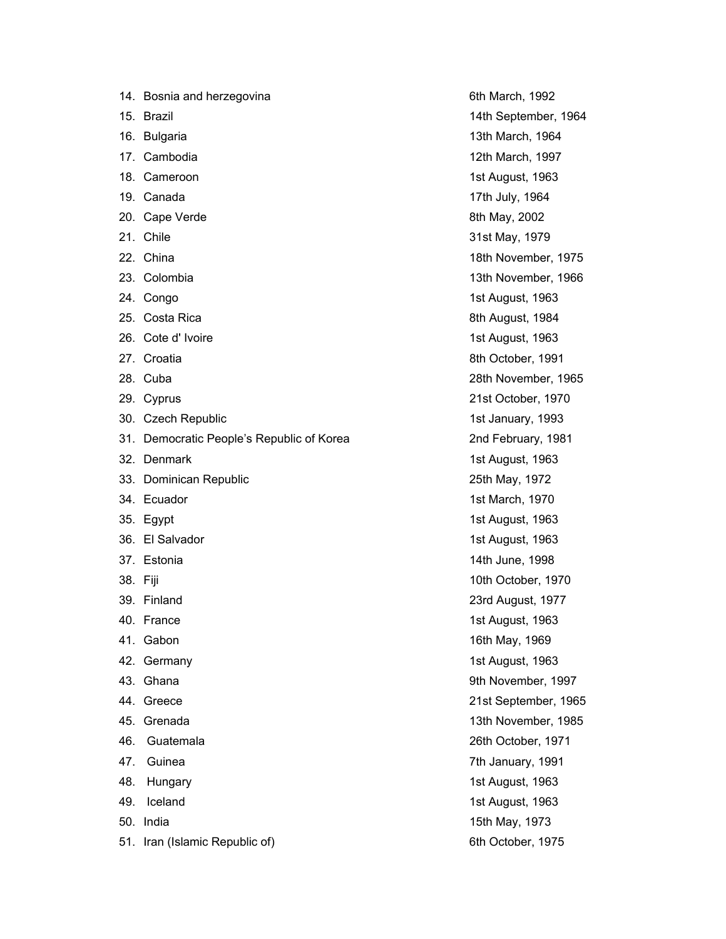14. Bosnia and herzegovina **6th March**, 1992 15. Brazil 14th September, 1964 16. Bulgaria 13th March, 1964 17. Cambodia 12th March, 1997 18. Cameroon 1st August, 1963 19. Canada 17th July, 1964 20. Cape Verde 8th May, 2002 21. Chile 31st May, 1979 22. China **18th November, 1975**  23. Colombia 13th November, 1966 24. Congo 24. Congo 24. Congo 24. Congo 24. Congo 24. Congo 25. Congo 25. Congo 25. Congo 25. Congo 25. Congo 25. Costa Rica 8th August, 1984 26. Cote d'Ivoire 1st August, 1963 27. Croatia and States and States and States and States and States and States and States and States and States 28. Cuba 28th November, 1965 29. Cyprus 21st October, 1970 30. Czech Republic 1st January, 1993 31. Democratic People's Republic of Korea 2nd February, 1981 32. Denmark 1963 (1963) 1st August, 1963 33. Dominican Republic 25th May, 1972 34. Ecuador 1st March, 1970 35. Egypt 1st August, 1963 36. El Salvador **1st August, 1963** 1st August, 1963 37. Estonia 14th June, 1998 38. Fiji 10th October, 1970 39. Finland 23rd August, 1977 40. France 1st August, 1963 Australian 16th May, 1969 and 16th May, 1969 42. Germany 1st August, 1963 43. Ghana 9th November, 1997 44. Greece 21st September, 1965 45. Grenada 13th November, 1985 46. Guatemala 26th October, 1971 47. Guinea **7th January, 1991** 48. Hungary 1st August, 1963 49. Iceland 1st August, 1963 50. India 15th May, 1973

51. Iran (Islamic Republic of) 6th October, 1975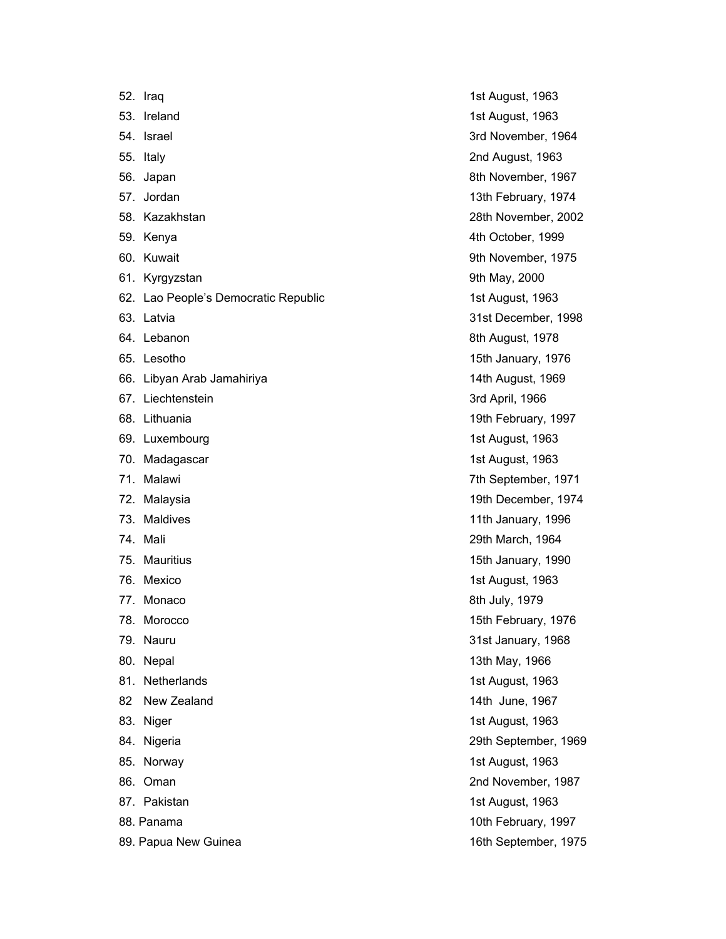- 52. Iraq 1st August, 1963 53. Ireland 1st August, 1963 54. Israel 3rd November, 1964 55. Italy 2nd August, 1963 56. Japan 8th November, 1967 57. Jordan 13th February, 1974 58. Kazakhstan 28th November, 2002 59. Kenya 4th October, 1999 60. Kuwait 9th November, 1975 61. Kyrgyzstan 9th May, 2000 62. Lao People's Democratic Republic 1st August, 1963 63. Latvia 31st December, 1998 64. Lebanon 8th August, 1978 65. Lesotho 15th January, 1976 66. Libyan Arab Jamahiriya 14th August, 1969 67. Liechtenstein 3rd April, 1966 68. Lithuania 19th February, 1997 69. Luxembourg 1st August, 1963 70. Madagascar 1st August, 1963 71. Malawi 7th September, 1971 72. Malaysia 19th December, 1974 **73. Maldives 11th January, 1996**  74. Mali 29th March, 1964 75. Mauritius 15th January, 1990 76. Mexico 1st August, 1963 77. Monaco 8th July, 1979 78. Morocco **15th February, 1976**  79. Nauru 31st January, 1968 80. Nepal 13th May, 1966 81. Netherlands 1st August, 1963 82 New Zealand 14th June, 1967 83. Niger 1963 84. Nigeria 29th September, 1969 85. Norway 1st August, 1963 86. Oman 2nd November, 1987 87. Pakistan 1963 88. Panama 10th February, 1997
	- 89. Papua New Guinea 16th September, 1975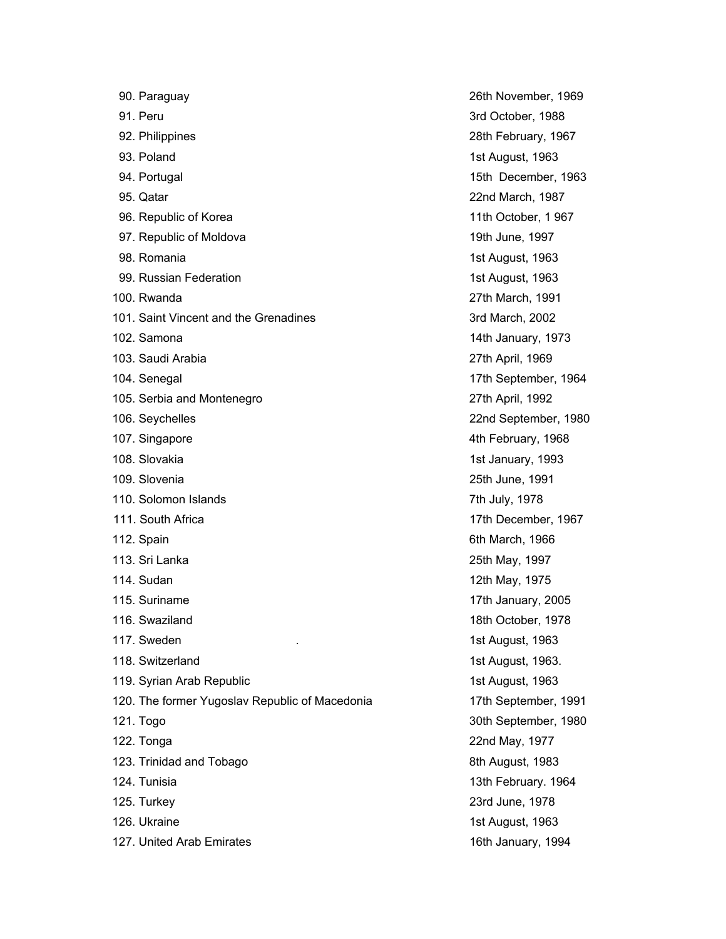| 90. Paraguay                               |
|--------------------------------------------|
| 91. Peru                                   |
| 92. Philippines                            |
| 93. Poland                                 |
| 94. Portugal                               |
| 95. Qatar                                  |
| 96. Republic of Korea                      |
| 97. Republic of Moldova                    |
| 98. Romania                                |
| 99. Russian Federation                     |
| 100. Rwanda                                |
| 101. Saint Vincent and the Grenadines      |
| 102. Samona                                |
| 103. Saudi Arabia                          |
| 104. Senegal                               |
| 105. Serbia and Montenegro                 |
| 106. Seychelles                            |
| 107. Singapore                             |
| 108. Slovakia                              |
| 109. Slovenia                              |
| 110. Solomon Islands                       |
| 111. South Africa                          |
| 112. Spain                                 |
| 113. Sri Lanka                             |
| 114. Sudan                                 |
| 115. Suriname                              |
| 116. Swaziland                             |
| 117. Sweden                                |
| 118. Switzerland                           |
| 119. Syrian Arab Republic                  |
| 120. The former Yugoslav Republic of Maced |
| 121. Togo                                  |
| 122. Tonga                                 |
| 123. Trinidad and Tobago                   |
| 124. Tunisia                               |
| 125. Turkey                                |
| 126. Ukraine                               |
| 127. United Arab Emirates                  |

26th November, 1969 3rd October, 1988 28th February, 1967 1st August, 1963 15th December, 1963 22nd March, 1987 11th October, 1 967 19th June, 1997 1st August, 1963 1st August, 1963 27th March, 1991 3rd March, 2002 14th January, 1973 27th April, 1969 17th September, 1964 27th April, 1992 22nd September, 1980 4th February, 1968 1st January, 1993 25th June, 1991 7th July, 1978 17th December, 1967 6th March, 1966 25th May, 1997 12th May, 1975 17th January, 2005 18th October, 1978 1st August, 1963 1st August, 1963. 1st August, 1963 onia and T7th September, 1991 30th September, 1980 22nd May, 1977 8th August, 1983 13th February. 1964 23rd June, 1978 1st August, 1963 16th January, 1994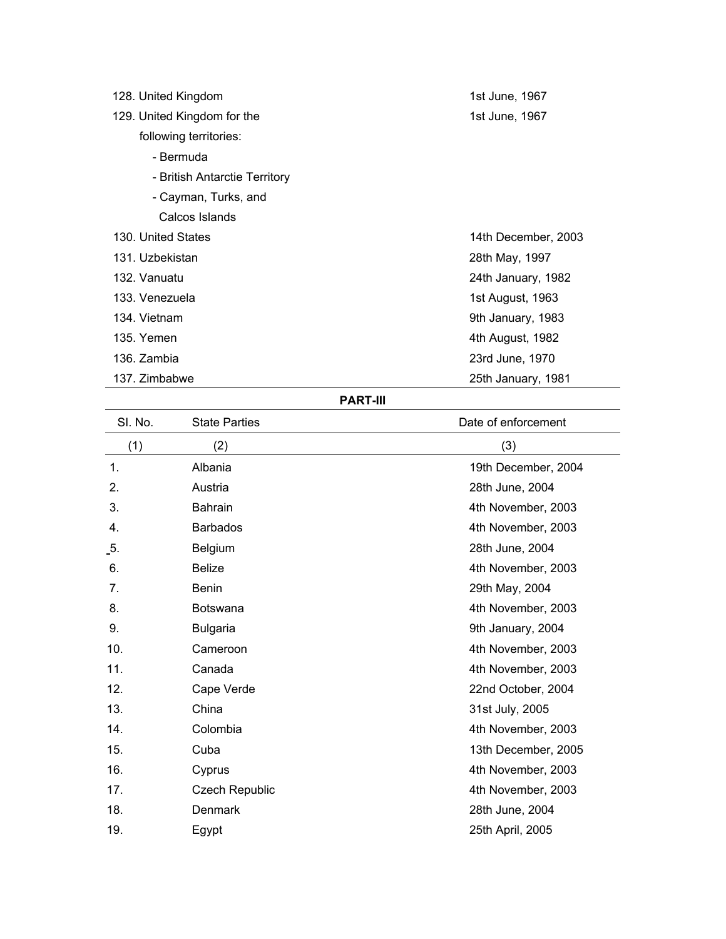| 128. United Kingdom           | 1st June, 1967      |
|-------------------------------|---------------------|
| 129. United Kingdom for the   | 1st June, 1967      |
| following territories:        |                     |
| - Bermuda                     |                     |
| - British Antarctie Territory |                     |
| - Cayman, Turks, and          |                     |
| Calcos Islands                |                     |
| 130. United States            | 14th December, 2003 |
| 131. Uzbekistan               | 28th May, 1997      |
| 132. Vanuatu                  | 24th January, 1982  |
| 133. Venezuela                | 1st August, 1963    |
| 134. Vietnam                  | 9th January, 1983   |
| 135. Yemen                    | 4th August, 1982    |
| 136. Zambia                   | 23rd June, 1970     |
| 137. Zimbabwe                 | 25th January, 1981  |

# **PART-III**

| SI. No.           | <b>State Parties</b>  | Date of enforcement |
|-------------------|-----------------------|---------------------|
| (1)               | (2)                   | (3)                 |
| 1.                | Albania               | 19th December, 2004 |
| 2.                | Austria               | 28th June, 2004     |
| 3.                | <b>Bahrain</b>        | 4th November, 2003  |
| 4.                | <b>Barbados</b>       | 4th November, 2003  |
| $\overline{.5}$ . | Belgium               | 28th June, 2004     |
| 6.                | <b>Belize</b>         | 4th November, 2003  |
| 7.                | Benin                 | 29th May, 2004      |
| 8.                | <b>Botswana</b>       | 4th November, 2003  |
| 9.                | <b>Bulgaria</b>       | 9th January, 2004   |
| 10.               | Cameroon              | 4th November, 2003  |
| 11.               | Canada                | 4th November, 2003  |
| 12.               | Cape Verde            | 22nd October, 2004  |
| 13.               | China                 | 31st July, 2005     |
| 14.               | Colombia              | 4th November, 2003  |
| 15.               | Cuba                  | 13th December, 2005 |
| 16.               | Cyprus                | 4th November, 2003  |
| 17.               | <b>Czech Republic</b> | 4th November, 2003  |
| 18.               | Denmark               | 28th June, 2004     |
| 19.               | Egypt                 | 25th April, 2005    |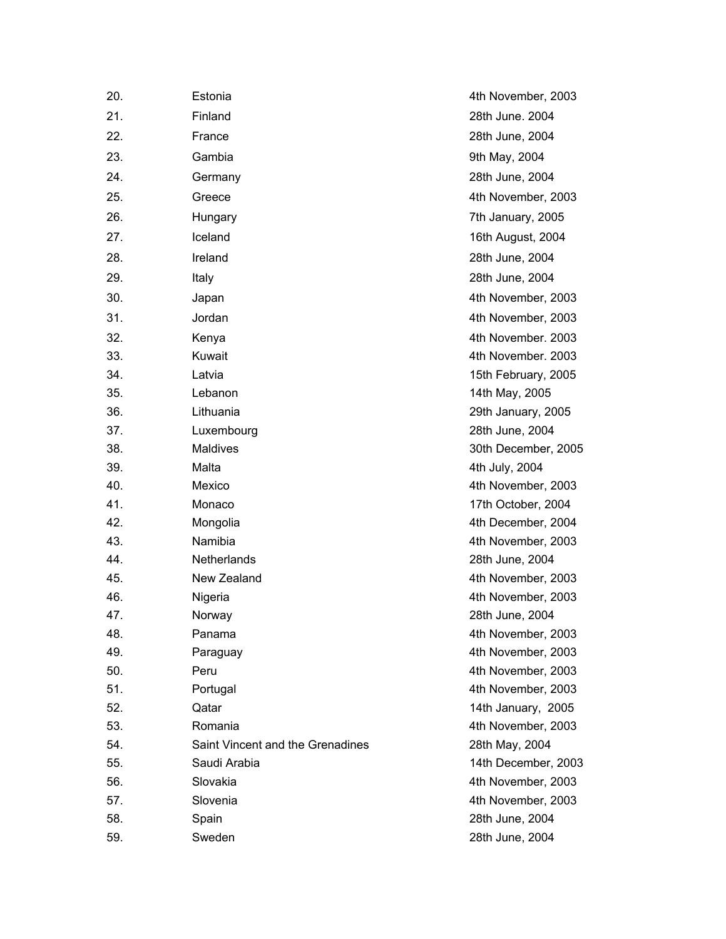| 20. | Estonia                          | 4th November, 2003  |
|-----|----------------------------------|---------------------|
| 21. | Finland                          | 28th June. 2004     |
| 22. | France                           | 28th June, 2004     |
| 23. | Gambia                           | 9th May, 2004       |
| 24. | Germany                          | 28th June, 2004     |
| 25. | Greece                           | 4th November, 2003  |
| 26. | Hungary                          | 7th January, 2005   |
| 27. | Iceland                          | 16th August, 2004   |
| 28. | Ireland                          | 28th June, 2004     |
| 29. | Italy                            | 28th June, 2004     |
| 30. | Japan                            | 4th November, 2003  |
| 31. | Jordan                           | 4th November, 2003  |
| 32. | Kenya                            | 4th November. 2003  |
| 33. | Kuwait                           | 4th November. 2003  |
| 34. | Latvia                           | 15th February, 2005 |
| 35. | Lebanon                          | 14th May, 2005      |
| 36. | Lithuania                        | 29th January, 2005  |
| 37. | Luxembourg                       | 28th June, 2004     |
| 38. | <b>Maldives</b>                  | 30th December, 2005 |
| 39. | Malta                            | 4th July, 2004      |
| 40. | Mexico                           | 4th November, 2003  |
| 41. | Monaco                           | 17th October, 2004  |
| 42. | Mongolia                         | 4th December, 2004  |
| 43. | Namibia                          | 4th November, 2003  |
| 44. | Netherlands                      | 28th June, 2004     |
| 45. | New Zealand                      | 4th November, 2003  |
| 46. | Nigeria                          | 4th November, 2003  |
| 47. | Norway                           | 28th June, 2004     |
| 48. | Panama                           | 4th November, 2003  |
| 49. | Paraguay                         | 4th November, 2003  |
| 50. | Peru                             | 4th November, 2003  |
| 51. | Portugal                         | 4th November, 2003  |
| 52. | Qatar                            | 14th January, 2005  |
| 53. | Romania                          | 4th November, 2003  |
| 54. | Saint Vincent and the Grenadines | 28th May, 2004      |
| 55. | Saudi Arabia                     | 14th December, 2003 |
| 56. | Slovakia                         | 4th November, 2003  |
| 57. | Slovenia                         | 4th November, 2003  |
| 58. | Spain                            | 28th June, 2004     |
| 59. | Sweden                           | 28th June, 2004     |